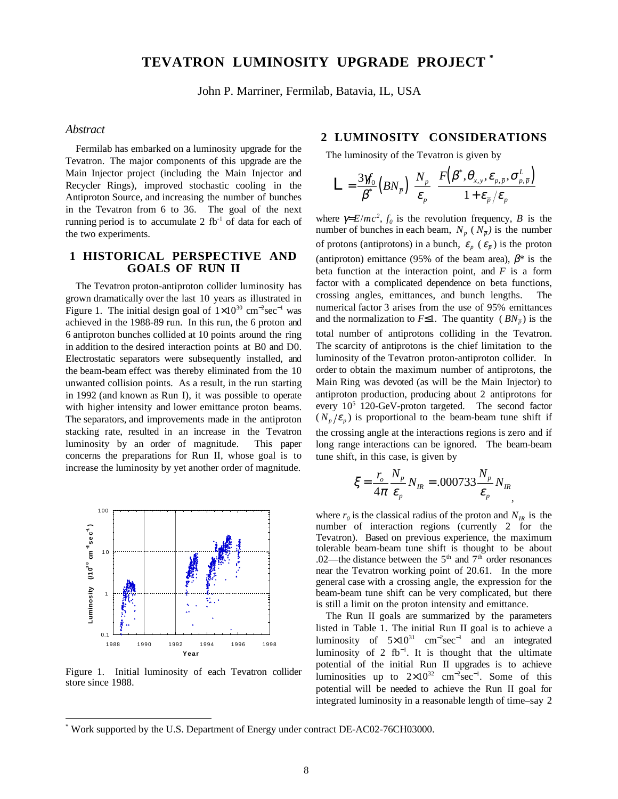# **TEVATRON LUMINOSITY UPGRADE PROJECT \***

John P. Marriner, Fermilab, Batavia, IL, USA

#### *Abstract*

Fermilab has embarked on a luminosity upgrade for the Tevatron. The major components of this upgrade are the Main Injector project (including the Main Injector and Recycler Rings), improved stochastic cooling in the Antiproton Source, and increasing the number of bunches in the Tevatron from 6 to 36. The goal of the next running period is to accumulate 2  $fb<sup>-1</sup>$  of data for each of the two experiments.

### **1 HISTORICAL PERSPECTIVE AND GOALS OF RUN II**

The Tevatron proton-antiproton collider luminosity has grown dramatically over the last 10 years as illustrated in Figure 1. The initial design goal of  $1 \times 10^{30}$  cm<sup>-2</sup>sec<sup>-1</sup> was achieved in the 1988-89 run. In this run, the 6 proton and 6 antiproton bunches collided at 10 points around the ring in addition to the desired interaction points at B0 and D0. Electrostatic separators were subsequently installed, and the beam-beam effect was thereby eliminated from the 10 unwanted collision points. As a result, in the run starting in 1992 (and known as Run I), it was possible to operate with higher intensity and lower emittance proton beams. The separators, and improvements made in the antiproton stacking rate, resulted in an increase in the Tevatron luminosity by an order of magnitude. This paper concerns the preparations for Run II, whose goal is to increase the luminosity by yet another order of magnitude.



Figure 1. Initial luminosity of each Tevatron collider store since 1988.

### **2 LUMINOSITY CONSIDERATIONS**

The luminosity of the Tevatron is given by

$$
\mathbf{L} = \frac{3\mathcal{y}_0}{\beta^*} \left(BN_{\overline{p}}\right) \left(\frac{N_p}{\varepsilon_p}\right) \frac{F\left(\beta^*, \theta_{x,y}, \varepsilon_{p,\overline{p}}, \sigma_{p,\overline{p}}^L\right)}{1 + \varepsilon_{\overline{p}}/\varepsilon_p}
$$

where  $\gamma = E/mc^2$ ,  $f_0$  is the revolution frequency, *B* is the number of bunches in each beam,  $N_p$  ( $N_{\bar{p}}$ ) is the number of protons (antiprotons) in a bunch,  $\varepsilon_p$  ( $\varepsilon_{\bar{p}}$ ) is the proton (antiproton) emittance (95% of the beam area),  $\beta^*$  is the beta function at the interaction point, and *F* is a form factor with a complicated dependence on beta functions, crossing angles, emittances, and bunch lengths. The numerical factor 3 arises from the use of 95% emittances and the normalization to  $F\leq 1$ . The quantity ( $BN_{\bar{p}}$ ) is the total number of antiprotons colliding in the Tevatron. The scarcity of antiprotons is the chief limitation to the luminosity of the Tevatron proton-antiproton collider. In order to obtain the maximum number of antiprotons, the Main Ring was devoted (as will be the Main Injector) to antiproton production, producing about 2 antiprotons for every 10<sup>5</sup> 120-GeV-proton targeted. The second factor  $(N_p/\varepsilon_p)$  is proportional to the beam-beam tune shift if the crossing angle at the interactions regions is zero and if long range interactions can be ignored. The beam-beam tune shift, in this case, is given by

$$
\xi = \frac{r_o}{4\pi} \frac{N_p}{\varepsilon_p} N_{IR} = .000733 \frac{N_p}{\varepsilon_p} N_{IR},
$$

where  $r_0$  is the classical radius of the proton and  $N_{IR}$  is the number of interaction regions (currently 2 for the Tevatron). Based on previous experience, the maximum tolerable beam-beam tune shift is thought to be about .02—the distance between the  $5<sup>th</sup>$  and  $7<sup>th</sup>$  order resonances near the Tevatron working point of 20.61. In the more general case with a crossing angle, the expression for the beam-beam tune shift can be very complicated, but there is still a limit on the proton intensity and emittance.

The Run II goals are summarized by the parameters listed in Table 1. The initial Run II goal is to achieve a luminosity of  $5 \times 10^{31}$  cm<sup>-2</sup>sec<sup>-1</sup> and an integrated luminosity of 2  $fb^{-1}$ . It is thought that the ultimate potential of the initial Run II upgrades is to achieve luminosities up to  $2\times10^{32}$  cm<sup>-2</sup>sec<sup>-1</sup>. Some of this potential will be needed to achieve the Run II goal for integrated luminosity in a reasonable length of time–say 2

<sup>\*</sup> Work supported by the U.S. Department of Energy under contract DE-AC02-76CH03000.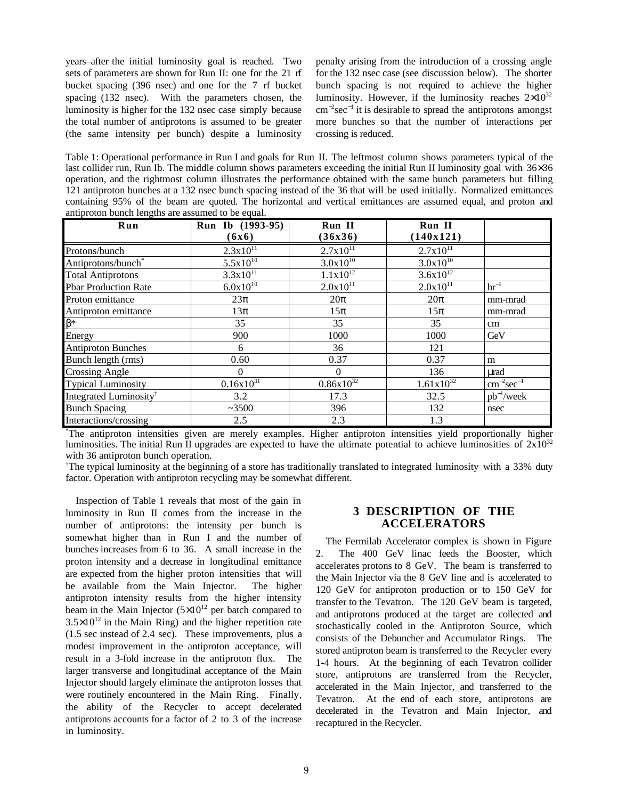years–after the initial luminosity goal is reached. Two sets of parameters are shown for Run II: one for the 21 rf bucket spacing (396 nsec) and one for the 7 rf bucket spacing (132 nsec). With the parameters chosen, the luminosity is higher for the 132 nsec case simply because the total number of antiprotons is assumed to be greater (the same intensity per bunch) despite a luminosity penalty arising from the introduction of a crossing angle for the 132 nsec case (see discussion below). The shorter bunch spacing is not required to achieve the higher luminosity. However, if the luminosity reaches  $2\times10^{32}$ cm<sup>−</sup><sup>2</sup> sec<sup>−</sup><sup>1</sup> it is desirable to spread the antiprotons amongst more bunches so that the number of interactions per crossing is reduced.

Table 1: Operational performance in Run I and goals for Run II. The leftmost column shows parameters typical of the last collider run, Run Ib. The middle column shows parameters exceeding the initial Run II luminosity goal with 36×36 operation, and the rightmost column illustrates the performance obtained with the same bunch parameters but filling 121 antiproton bunches at a 132 nsec bunch spacing instead of the 36 that will be used initially. Normalized emittances containing 95% of the beam are quoted. The horizontal and vertical emittances are assumed equal, and proton and antiproton bunch lengths are assumed to be equal.

| Run                                | Run Ib (1993-95) | Run II         | Run II         |                   |
|------------------------------------|------------------|----------------|----------------|-------------------|
|                                    | (6x6)            | (36x36)        | (140x121)      |                   |
| Protons/bunch                      | $2.3x10^{11}$    | $2.7x10^{11}$  | $2.7x10^{11}$  |                   |
| Antiprotons/bunch*                 | $5.5x10^{10}$    | $3.0x10^{10}$  | $3.0x10^{10}$  |                   |
| <b>Total Antiprotons</b>           | $3.3x10^{11}$    | $1.1x10^{12}$  | $3.6x10^{12}$  |                   |
| <b>Pbar Production Rate</b>        | $6.0x10^{10}$    | $2.0x10^{11}$  | $2.0x10^{11}$  | $hr^{-1}$         |
| Proton emittance                   | $23\pi$          | $20\pi$        | $20\pi$        | mm-mrad           |
| Antiproton emittance               | $13\pi$          | $15\pi$        | $15\pi$        | mm-mrad           |
| $\beta^*$                          | 35               | 35             | 35             | cm                |
| Energy                             | 900              | 1000           | 1000           | GeV               |
| <b>Antiproton Bunches</b>          | 6                | 36             | 121            |                   |
| Bunch length (rms)                 | 0.60             | 0.37           | 0.37           | m                 |
| <b>Crossing Angle</b>              | 0                | $\theta$       | 136            | urad              |
| <b>Typical Luminosity</b>          | $0.16x10^{31}$   | $0.86x10^{32}$ | $1.61x10^{32}$ | $cm^{-2}sec^{-1}$ |
| Integrated Luminosity <sup>†</sup> | 3.2              | 17.3           | 32.5           | $pb^{-1}/week$    |
| <b>Bunch Spacing</b>               | ~100             | 396            | 132            | nsec              |
| Interactions/crossing              | 2.5              | 2.3            | 1.3            |                   |

\* The antiproton intensities given are merely examples. Higher antiproton intensities yield proportionally higher luminosities. The initial Run II upgrades are expected to have the ultimate potential to achieve luminosities of  $2x10^{32}$ with 36 antiproton bunch operation.

† The typical luminosity at the beginning of a store has traditionally translated to integrated luminosity with a 33% duty factor. Operation with antiproton recycling may be somewhat different.

Inspection of Table 1 reveals that most of the gain in luminosity in Run II comes from the increase in the number of antiprotons: the intensity per bunch is somewhat higher than in Run I and the number of bunches increases from 6 to 36. A small increase in the proton intensity and a decrease in longitudinal emittance are expected from the higher proton intensities that will be available from the Main Injector. The higher antiproton intensity results from the higher intensity beam in the Main Injector  $(5\times10^{12})$  per batch compared to  $3.5 \times 10^{12}$  in the Main Ring) and the higher repetition rate (1.5 sec instead of 2.4 sec). These improvements, plus a modest improvement in the antiproton acceptance, will result in a 3-fold increase in the antiproton flux. The larger transverse and longitudinal acceptance of the Main Injector should largely eliminate the antiproton losses that were routinely encountered in the Main Ring. Finally, the ability of the Recycler to accept decelerated antiprotons accounts for a factor of 2 to 3 of the increase in luminosity.

### **3 DESCRIPTION OF THE ACCELERATORS**

The Fermilab Accelerator complex is shown in Figure 2. The 400 GeV linac feeds the Booster, which accelerates protons to 8 GeV. The beam is transferred to the Main Injector via the 8 GeV line and is accelerated to 120 GeV for antiproton production or to 150 GeV for transfer to the Tevatron. The 120 GeV beam is targeted, and antiprotons produced at the target are collected and stochastically cooled in the Antiproton Source, which consists of the Debuncher and Accumulator Rings. The stored antiproton beam is transferred to the Recycler every 1-4 hours. At the beginning of each Tevatron collider store, antiprotons are transferred from the Recycler, accelerated in the Main Injector, and transferred to the Tevatron. At the end of each store, antiprotons are decelerated in the Tevatron and Main Injector, and recaptured in the Recycler.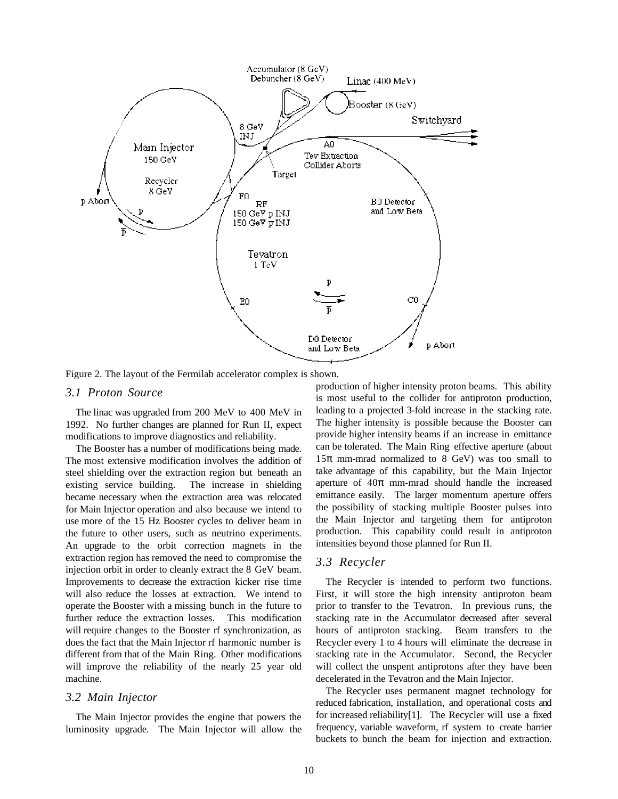

Figure 2. The layout of the Fermilab accelerator complex is shown.

#### *3.1 Proton Source*

The linac was upgraded from 200 MeV to 400 MeV in 1992. No further changes are planned for Run II, expect modifications to improve diagnostics and reliability.

The Booster has a number of modifications being made. The most extensive modification involves the addition of steel shielding over the extraction region but beneath an existing service building. The increase in shielding became necessary when the extraction area was relocated for Main Injector operation and also because we intend to use more of the 15 Hz Booster cycles to deliver beam in the future to other users, such as neutrino experiments. An upgrade to the orbit correction magnets in the extraction region has removed the need to compromise the injection orbit in order to cleanly extract the 8 GeV beam. Improvements to decrease the extraction kicker rise time will also reduce the losses at extraction. We intend to operate the Booster with a missing bunch in the future to further reduce the extraction losses. This modification will require changes to the Booster rf synchronization, as does the fact that the Main Injector rf harmonic number is different from that of the Main Ring. Other modifications will improve the reliability of the nearly 25 year old machine.

#### *3.2 Main Injector*

The Main Injector provides the engine that powers the luminosity upgrade. The Main Injector will allow the production of higher intensity proton beams. This ability is most useful to the collider for antiproton production, leading to a projected 3-fold increase in the stacking rate. The higher intensity is possible because the Booster can provide higher intensity beams if an increase in emittance can be tolerated. The Main Ring effective aperture (about  $15\pi$  mm-mrad normalized to 8 GeV) was too small to take advantage of this capability, but the Main Injector aperture of  $40\pi$  mm-mrad should handle the increased emittance easily. The larger momentum aperture offers the possibility of stacking multiple Booster pulses into the Main Injector and targeting them for antiproton production. This capability could result in antiproton intensities beyond those planned for Run II.

#### *3.3 Recycler*

The Recycler is intended to perform two functions. First, it will store the high intensity antiproton beam prior to transfer to the Tevatron. In previous runs, the stacking rate in the Accumulator decreased after several hours of antiproton stacking. Beam transfers to the Recycler every 1 to 4 hours will eliminate the decrease in stacking rate in the Accumulator. Second, the Recycler will collect the unspent antiprotons after they have been decelerated in the Tevatron and the Main Injector.

The Recycler uses permanent magnet technology for reduced fabrication, installation, and operational costs and for increased reliability[1]. The Recycler will use a fixed frequency, variable waveform, rf system to create barrier buckets to bunch the beam for injection and extraction.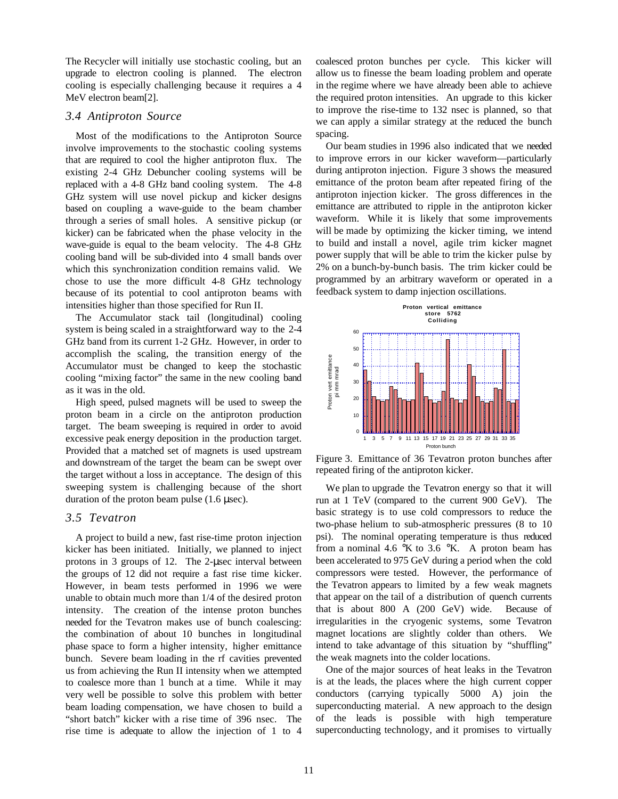The Recycler will initially use stochastic cooling, but an upgrade to electron cooling is planned. The electron cooling is especially challenging because it requires a 4 MeV electron beam[2].

#### *3.4 Antiproton Source*

Most of the modifications to the Antiproton Source involve improvements to the stochastic cooling systems that are required to cool the higher antiproton flux. The existing 2-4 GHz Debuncher cooling systems will be replaced with a 4-8 GHz band cooling system. The 4-8 GHz system will use novel pickup and kicker designs based on coupling a wave-guide to the beam chamber through a series of small holes. A sensitive pickup (or kicker) can be fabricated when the phase velocity in the wave-guide is equal to the beam velocity. The 4-8 GHz cooling band will be sub-divided into 4 small bands over which this synchronization condition remains valid. We chose to use the more difficult 4-8 GHz technology because of its potential to cool antiproton beams with intensities higher than those specified for Run II.

The Accumulator stack tail (longitudinal) cooling system is being scaled in a straightforward way to the 2-4 GHz band from its current 1-2 GHz. However, in order to accomplish the scaling, the transition energy of the Accumulator must be changed to keep the stochastic cooling "mixing factor" the same in the new cooling band as it was in the old.

High speed, pulsed magnets will be used to sweep the proton beam in a circle on the antiproton production target. The beam sweeping is required in order to avoid excessive peak energy deposition in the production target. Provided that a matched set of magnets is used upstream and downstream of the target the beam can be swept over the target without a loss in acceptance. The design of this sweeping system is challenging because of the short duration of the proton beam pulse (1.6 µsec).

### *3.5 Tevatron*

A project to build a new, fast rise-time proton injection kicker has been initiated. Initially, we planned to inject protons in 3 groups of 12. The 2-µsec interval between the groups of 12 did not require a fast rise time kicker. However, in beam tests performed in 1996 we were unable to obtain much more than 1/4 of the desired proton intensity. The creation of the intense proton bunches needed for the Tevatron makes use of bunch coalescing: the combination of about 10 bunches in longitudinal phase space to form a higher intensity, higher emittance bunch. Severe beam loading in the rf cavities prevented us from achieving the Run II intensity when we attempted to coalesce more than 1 bunch at a time. While it may very well be possible to solve this problem with better beam loading compensation, we have chosen to build a "short batch" kicker with a rise time of 396 nsec. The rise time is adequate to allow the injection of 1 to 4 coalesced proton bunches per cycle. This kicker will allow us to finesse the beam loading problem and operate in the regime where we have already been able to achieve the required proton intensities. An upgrade to this kicker to improve the rise-time to 132 nsec is planned, so that we can apply a similar strategy at the reduced the bunch spacing.

Our beam studies in 1996 also indicated that we needed to improve errors in our kicker waveform—particularly during antiproton injection. Figure 3 shows the measured emittance of the proton beam after repeated firing of the antiproton injection kicker. The gross differences in the emittance are attributed to ripple in the antiproton kicker waveform. While it is likely that some improvements will be made by optimizing the kicker timing, we intend to build and install a novel, agile trim kicker magnet power supply that will be able to trim the kicker pulse by 2% on a bunch-by-bunch basis. The trim kicker could be programmed by an arbitrary waveform or operated in a feedback system to damp injection oscillations.



Figure 3. Emittance of 36 Tevatron proton bunches after repeated firing of the antiproton kicker.

We plan to upgrade the Tevatron energy so that it will run at 1 TeV (compared to the current 900 GeV). The basic strategy is to use cold compressors to reduce the two-phase helium to sub-atmospheric pressures (8 to 10 psi). The nominal operating temperature is thus reduced from a nominal 4.6  $\mathrm{K}$  to 3.6  $\mathrm{K}$ . A proton beam has been accelerated to 975 GeV during a period when the cold compressors were tested. However, the performance of the Tevatron appears to limited by a few weak magnets that appear on the tail of a distribution of quench currents that is about 800 A (200 GeV) wide. Because of irregularities in the cryogenic systems, some Tevatron magnet locations are slightly colder than others. We intend to take advantage of this situation by "shuffling" the weak magnets into the colder locations.

One of the major sources of heat leaks in the Tevatron is at the leads, the places where the high current copper conductors (carrying typically 5000 A) join the superconducting material. A new approach to the design of the leads is possible with high temperature superconducting technology, and it promises to virtually